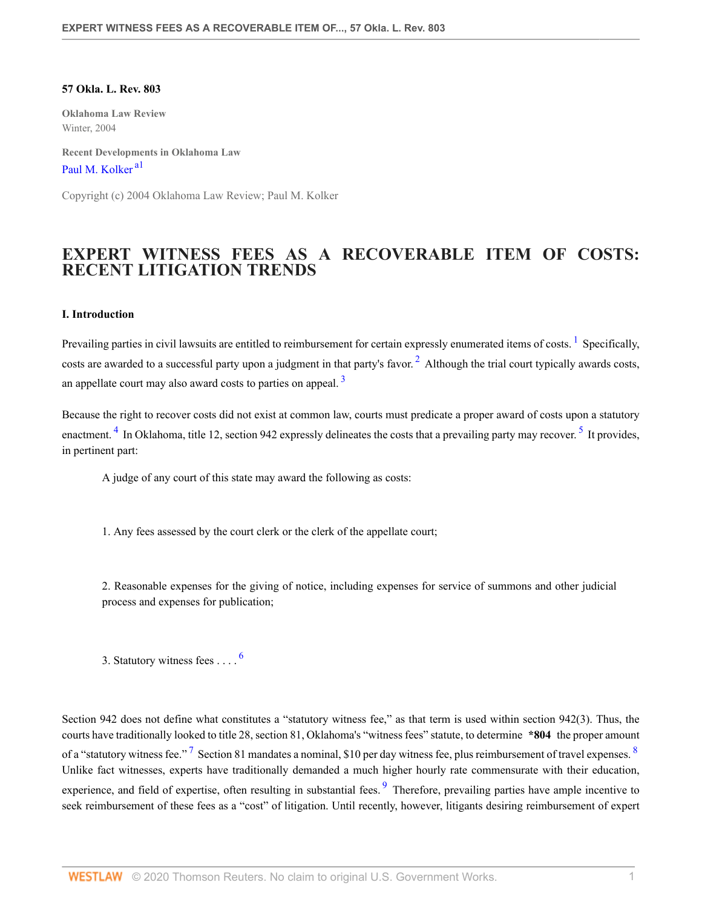### **57 Okla. L. Rev. 803**

**Oklahoma Law Review** Winter, 2004

<span id="page-0-0"></span>**Recent Developments in Oklahoma Law** [Paul M. Kolker](http://www.westlaw.com/Link/Document/FullText?findType=h&pubNum=176284&cite=0341942001&originatingDoc=Ia3826ca15ad111dbbe1cf2d29fe2afe6&refType=RQ&originationContext=document&vr=3.0&rs=cblt1.0&transitionType=DocumentItem&contextData=(sc.Search))<sup>[a1](#page-4-0)</sup>

Copyright (c) 2004 Oklahoma Law Review; Paul M. Kolker

# **EXPERT WITNESS FEES AS A RECOVERABLE ITEM OF COSTS: RECENT LITIGATION TRENDS**

## **I. Introduction**

Prevailing parties in civil lawsuits are entitled to reimbursement for certain expressly enumerated items of costs. <sup>[1](#page-4-1)</sup> Specifically, costs are awarded to a successful party upon a judgment in that party's favor.<sup>[2](#page-4-2)</sup> Although the trial court typically awards costs, an appellate court may also award costs to parties on appeal.<sup>[3](#page-4-3)</sup>

<span id="page-0-4"></span>Because the right to recover costs did not exist at common law, courts must predicate a proper award of costs upon a statutory enactment. <sup>[4](#page-4-4)</sup> In Oklahoma, title 12, section 942 expressly delineates the costs that a prevailing party may recover. <sup>[5](#page-4-5)</sup> It provides, in pertinent part:

<span id="page-0-5"></span><span id="page-0-3"></span><span id="page-0-2"></span><span id="page-0-1"></span>A judge of any court of this state may award the following as costs:

1. Any fees assessed by the court clerk or the clerk of the appellate court;

2. Reasonable expenses for the giving of notice, including expenses for service of summons and other judicial process and expenses for publication;

<span id="page-0-9"></span><span id="page-0-8"></span><span id="page-0-7"></span><span id="page-0-6"></span>3. Statutory witness fees . . . . [6](#page-4-6)

Section 942 does not define what constitutes a "statutory witness fee," as that term is used within section 942(3). Thus, the courts have traditionally looked to title 28, section 81, Oklahoma's "witness fees" statute, to determine **\*804** the proper amount of a "statutory witness fee."  $\frac{7}{1}$  $\frac{7}{1}$  $\frac{7}{1}$  Section [8](#page-4-8)1 mandates a nominal, \$10 per day witness fee, plus reimbursement of travel expenses.  $\frac{8}{1}$ Unlike fact witnesses, experts have traditionally demanded a much higher hourly rate commensurate with their education, experience, and field of expertise, often resulting in substantial fees. <sup>[9](#page-4-9)</sup> Therefore, prevailing parties have ample incentive to seek reimbursement of these fees as a "cost" of litigation. Until recently, however, litigants desiring reimbursement of expert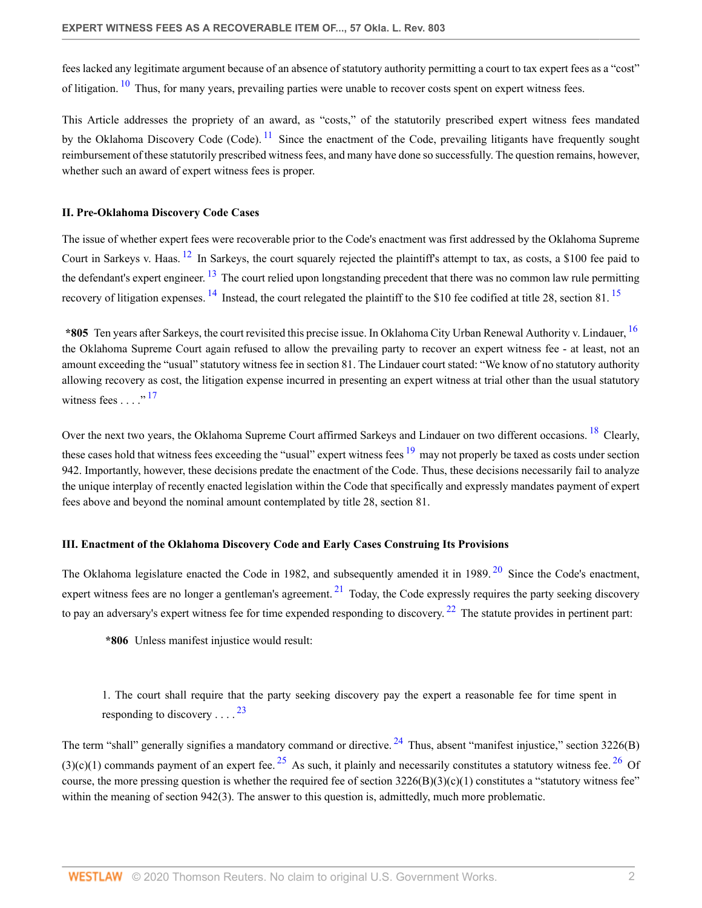<span id="page-1-0"></span>fees lacked any legitimate argument because of an absence of statutory authority permitting a court to tax expert fees as a "cost" of litigation.  $10$  Thus, for many years, prevailing parties were unable to recover costs spent on expert witness fees.

<span id="page-1-1"></span>This Article addresses the propriety of an award, as "costs," of the statutorily prescribed expert witness fees mandated by the Oklahoma Discovery Code (Code).  $^{11}$  $^{11}$  $^{11}$  Since the enactment of the Code, prevailing litigants have frequently sought reimbursement of these statutorily prescribed witness fees, and many have done so successfully. The question remains, however, whether such an award of expert witness fees is proper.

## **II. Pre-Oklahoma Discovery Code Cases**

<span id="page-1-3"></span><span id="page-1-2"></span>The issue of whether expert fees were recoverable prior to the Code's enactment was first addressed by the Oklahoma Supreme Court in Sarkeys v. Haas. <sup>[12](#page-4-12)</sup> In Sarkeys, the court squarely rejected the plaintiff's attempt to tax, as costs, a \$100 fee paid to the defendant's expert engineer. <sup>[13](#page-5-0)</sup> The court relied upon longstanding precedent that there was no common law rule permitting recovery of litigation expenses. <sup>[14](#page-5-1)</sup> Instead, the court relegated the plaintiff to the \$10 fee codified at title 28, section 81. <sup>[15](#page-5-2)</sup>

<span id="page-1-6"></span><span id="page-1-5"></span><span id="page-1-4"></span>**\*805** Ten years after Sarkeys, the court revisited this precise issue. In Oklahoma City Urban Renewal Authority v. Lindauer, [16](#page-5-3) the Oklahoma Supreme Court again refused to allow the prevailing party to recover an expert witness fee - at least, not an amount exceeding the "usual" statutory witness fee in section 81. The Lindauer court stated: "We know of no statutory authority allowing recovery as cost, the litigation expense incurred in presenting an expert witness at trial other than the usual statutory witness fees  $\ldots$  ...<sup>[17](#page-5-4)</sup>

<span id="page-1-9"></span><span id="page-1-8"></span><span id="page-1-7"></span>Over the next two years, the Oklahoma Supreme Court affirmed Sarkeys and Lindauer on two different occasions. <sup>[18](#page-5-5)</sup> Clearly, these cases hold that witness fees exceeding the "usual" expert witness fees  $19$  may not properly be taxed as costs under section 942. Importantly, however, these decisions predate the enactment of the Code. Thus, these decisions necessarily fail to analyze the unique interplay of recently enacted legislation within the Code that specifically and expressly mandates payment of expert fees above and beyond the nominal amount contemplated by title 28, section 81.

## **III. Enactment of the Oklahoma Discovery Code and Early Cases Construing Its Provisions**

The Oklahoma legislature enacted the Code in 1982, and subsequently amended it in 1989.<sup>[20](#page-5-7)</sup> Since the Code's enactment, expert witness fees are no longer a gentleman's agreement.  $2<sup>1</sup>$  Today, the Code expressly requires the party seeking discovery to pay an adversary's expert witness fee for time expended responding to discovery.  $22$  The statute provides in pertinent part:

<span id="page-1-12"></span><span id="page-1-11"></span><span id="page-1-10"></span>**\*806** Unless manifest injustice would result:

<span id="page-1-16"></span><span id="page-1-15"></span><span id="page-1-14"></span><span id="page-1-13"></span>1. The court shall require that the party seeking discovery pay the expert a reasonable fee for time spent in responding to discovery . . . .  $^{23}$  $^{23}$  $^{23}$ 

The term "shall" generally signifies a mandatory command or directive.  $^{24}$  $^{24}$  $^{24}$  Thus, absent "manifest injustice," section 3226(B) (3)(c)(1) commands payment of an expert fee. <sup>[25](#page-5-12)</sup> As such, it plainly and necessarily constitutes a statutory witness fee. <sup>[26](#page-5-13)</sup> Of course, the more pressing question is whether the required fee of section  $3226(B)(3)(c)(1)$  constitutes a "statutory witness fee" within the meaning of section 942(3). The answer to this question is, admittedly, much more problematic.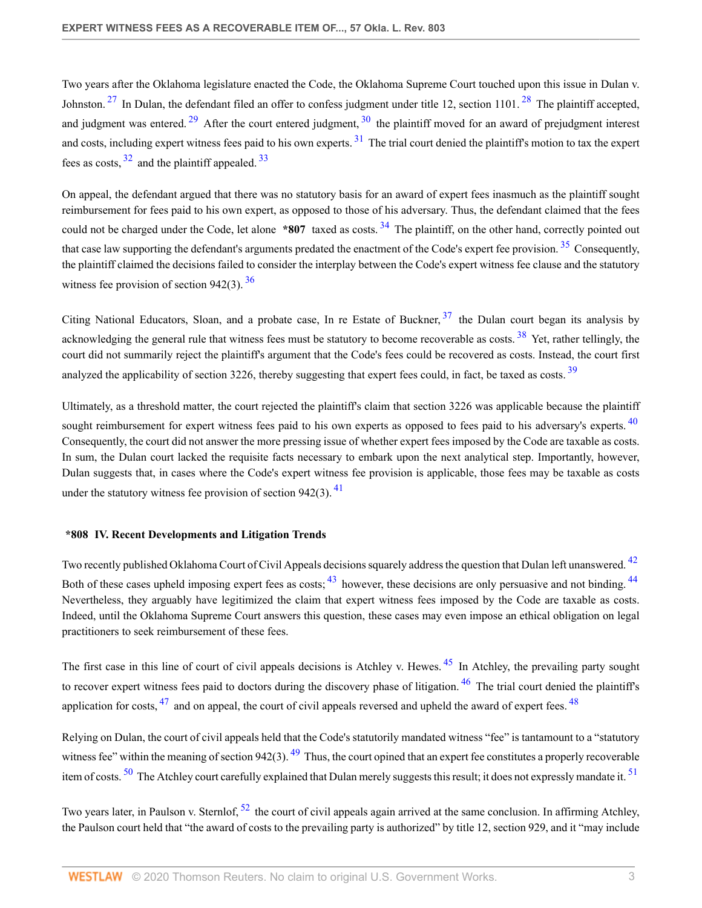<span id="page-2-4"></span><span id="page-2-3"></span><span id="page-2-2"></span><span id="page-2-1"></span><span id="page-2-0"></span>Two years after the Oklahoma legislature enacted the Code, the Oklahoma Supreme Court touched upon this issue in Dulan v. Johnston.  $27$  In Dulan, the defendant filed an offer to confess judgment under title 12, section 1101.  $28$  The plaintiff accepted, and judgment was entered.<sup>[29](#page-5-16)</sup> After the court entered judgment,  $30$  the plaintiff moved for an award of prejudgment interest and costs, including expert witness fees paid to his own experts.<sup>[31](#page-5-18)</sup> The trial court denied the plaintiff's motion to tax the expert fees as costs,  $32$  and the plaintiff appealed.  $33$ 

<span id="page-2-8"></span><span id="page-2-7"></span><span id="page-2-6"></span><span id="page-2-5"></span>On appeal, the defendant argued that there was no statutory basis for an award of expert fees inasmuch as the plaintiff sought reimbursement for fees paid to his own expert, as opposed to those of his adversary. Thus, the defendant claimed that the fees could not be charged under the Code, let alone **\*807** taxed as costs.<sup>[34](#page-5-21)</sup> The plaintiff, on the other hand, correctly pointed out that case law supporting the defendant's arguments predated the enactment of the Code's expert fee provision.<sup>[35](#page-5-22)</sup> Consequently, the plaintiff claimed the decisions failed to consider the interplay between the Code's expert witness fee clause and the statutory witness fee provision of section 942(3).  $36$ 

<span id="page-2-11"></span><span id="page-2-10"></span><span id="page-2-9"></span>Citing National Educators, Sloan, and a probate case. In re Estate of Buckner,  $37$  the Dulan court began its analysis by acknowledging the general rule that witness fees must be statutory to become recoverable as costs. <sup>[38](#page-6-0)</sup> Yet, rather tellingly, the court did not summarily reject the plaintiff's argument that the Code's fees could be recovered as costs. Instead, the court first analyzed the applicability of section 3226, thereby suggesting that expert fees could, in fact, be taxed as costs. <sup>[39](#page-6-1)</sup>

<span id="page-2-13"></span><span id="page-2-12"></span>Ultimately, as a threshold matter, the court rejected the plaintiff's claim that section 3226 was applicable because the plaintiff sought reimbursement for expert witness fees paid to his own experts as opposed to fees paid to his adversary's experts. <sup>[40](#page-6-2)</sup> Consequently, the court did not answer the more pressing issue of whether expert fees imposed by the Code are taxable as costs. In sum, the Dulan court lacked the requisite facts necessary to embark upon the next analytical step. Importantly, however, Dulan suggests that, in cases where the Code's expert witness fee provision is applicable, those fees may be taxable as costs under the statutory witness fee provision of section 942(3).  $\frac{41}{2}$  $\frac{41}{2}$  $\frac{41}{2}$ 

# <span id="page-2-17"></span><span id="page-2-15"></span><span id="page-2-14"></span>**\*808 IV. Recent Developments and Litigation Trends**

<span id="page-2-16"></span>Two recently published Oklahoma Court of Civil Appeals decisions squarely address the question that Dulan left unanswered. <sup>[42](#page-6-4)</sup> Both of these cases upheld imposing expert fees as costs;  $^{43}$  $^{43}$  $^{43}$  however, these decisions are only persuasive and not binding.  $^{44}$  $^{44}$  $^{44}$ Nevertheless, they arguably have legitimized the claim that expert witness fees imposed by the Code are taxable as costs. Indeed, until the Oklahoma Supreme Court answers this question, these cases may even impose an ethical obligation on legal practitioners to seek reimbursement of these fees.

<span id="page-2-21"></span><span id="page-2-20"></span><span id="page-2-19"></span><span id="page-2-18"></span>The first case in this line of court of civil appeals decisions is Atchley v. Hewes. <sup>[45](#page-6-7)</sup> In Atchley, the prevailing party sought to recover expert witness fees paid to doctors during the discovery phase of litigation.  $46$  The trial court denied the plaintiff's application for costs,  $^{47}$  $^{47}$  $^{47}$  and on appeal, the court of civil appeals reversed and upheld the award of expert fees.  $^{48}$  $^{48}$  $^{48}$ 

<span id="page-2-24"></span><span id="page-2-23"></span><span id="page-2-22"></span>Relying on Dulan, the court of civil appeals held that the Code's statutorily mandated witness "fee" is tantamount to a "statutory witness fee" within the meaning of section 942(3).  $49$  Thus, the court opined that an expert fee constitutes a properly recoverable item of costs.<sup>[50](#page-6-12)</sup> The Atchley court carefully explained that Dulan merely suggests this result; it does not expressly mandate it.<sup>[51](#page-6-13)</sup>

<span id="page-2-25"></span>Two years later, in Paulson v. Sternlof, <sup>[52](#page-6-14)</sup> the court of civil appeals again arrived at the same conclusion. In affirming Atchley, the Paulson court held that "the award of costs to the prevailing party is authorized" by title 12, section 929, and it "may include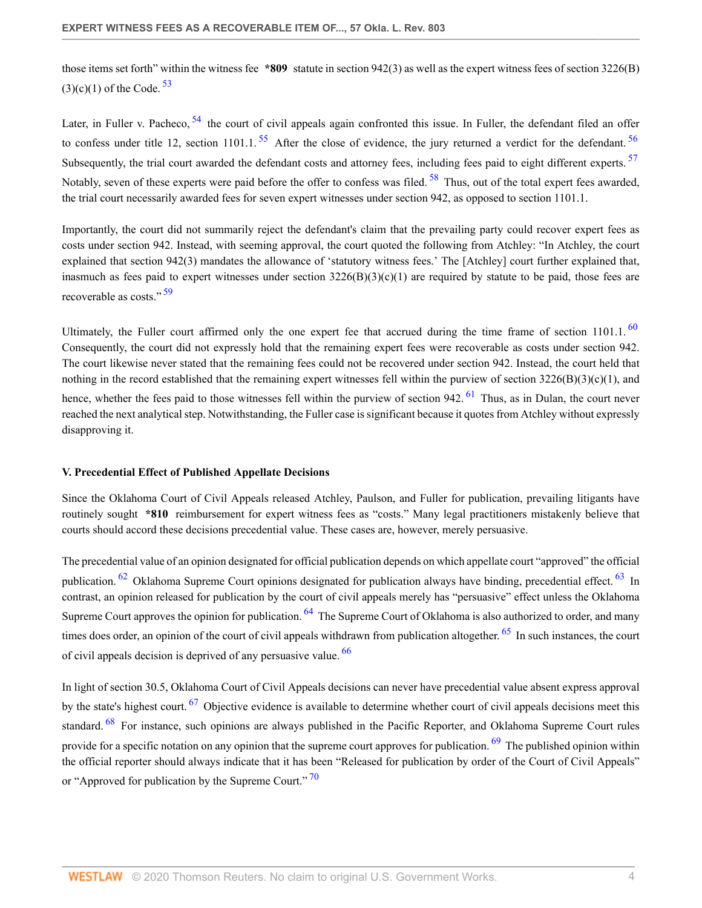<span id="page-3-0"></span>those items set forth" within the witness fee **\*809** statute in section 942(3) as well as the expert witness fees of section 3226(B)  $(3)(c)(1)$  of the Code.  $53$ 

<span id="page-3-5"></span><span id="page-3-4"></span><span id="page-3-3"></span><span id="page-3-2"></span><span id="page-3-1"></span>Later, in Fuller v. Pacheco,  $54$  the court of civil appeals again confronted this issue. In Fuller, the defendant filed an offer to confess under title 12, section 1101.1.  $^{55}$  $^{55}$  $^{55}$  After the close of evidence, the jury returned a verdict for the defendant.  $^{56}$  $^{56}$  $^{56}$ Subsequently, the trial court awarded the defendant costs and attorney fees, including fees paid to eight different experts. <sup>[57](#page-6-19)</sup> Notably, seven of these experts were paid before the offer to confess was filed. <sup>[58](#page-6-20)</sup> Thus, out of the total expert fees awarded, the trial court necessarily awarded fees for seven expert witnesses under section 942, as opposed to section 1101.1.

Importantly, the court did not summarily reject the defendant's claim that the prevailing party could recover expert fees as costs under section 942. Instead, with seeming approval, the court quoted the following from Atchley: "In Atchley, the court explained that section 942(3) mandates the allowance of 'statutory witness fees.' The [Atchley] court further explained that, inasmuch as fees paid to expert witnesses under section  $3226(B)(3)(c)(1)$  are required by statute to be paid, those fees are recoverable as costs."<sup>[59](#page-6-21)</sup>

<span id="page-3-8"></span><span id="page-3-7"></span><span id="page-3-6"></span>Ultimately, the Fuller court affirmed only the one expert fee that accrued during the time frame of section  $1101.1$ .  $^{60}$  $^{60}$  $^{60}$ Consequently, the court did not expressly hold that the remaining expert fees were recoverable as costs under section 942. The court likewise never stated that the remaining fees could not be recovered under section 942. Instead, the court held that nothing in the record established that the remaining expert witnesses fell within the purview of section  $3226(B)(3)(c)(1)$ , and hence, whether the fees paid to those witnesses fell within the purview of section 942.  $^{61}$  $^{61}$  $^{61}$  Thus, as in Dulan, the court never reached the next analytical step. Notwithstanding, the Fuller case is significant because it quotes from Atchley without expressly disapproving it.

# **V. Precedential Effect of Published Appellate Decisions**

Since the Oklahoma Court of Civil Appeals released Atchley, Paulson, and Fuller for publication, prevailing litigants have routinely sought **\*810** reimbursement for expert witness fees as "costs." Many legal practitioners mistakenly believe that courts should accord these decisions precedential value. These cases are, however, merely persuasive.

<span id="page-3-11"></span><span id="page-3-10"></span><span id="page-3-9"></span>The precedential value of an opinion designated for official publication depends on which appellate court "approved" the official publication. <sup>[62](#page-6-24)</sup> Oklahoma Supreme Court opinions designated for publication always have binding, precedential effect. <sup>[63](#page-6-25)</sup> In contrast, an opinion released for publication by the court of civil appeals merely has "persuasive" effect unless the Oklahoma Supreme Court approves the opinion for publication. <sup>[64](#page-7-0)</sup> The Supreme Court of Oklahoma is also authorized to order, and many times does order, an opinion of the court of civil appeals withdrawn from publication altogether. <sup>[65](#page-7-1)</sup> In such instances, the court of civil appeals decision is deprived of any persuasive value. [66](#page-7-2)

<span id="page-3-17"></span><span id="page-3-16"></span><span id="page-3-15"></span><span id="page-3-14"></span><span id="page-3-13"></span><span id="page-3-12"></span>In light of section 30.5, Oklahoma Court of Civil Appeals decisions can never have precedential value absent express approval by the state's highest court. <sup>[67](#page-7-3)</sup> Objective evidence is available to determine whether court of civil appeals decisions meet this standard. <sup>[68](#page-7-4)</sup> For instance, such opinions are always published in the Pacific Reporter, and Oklahoma Supreme Court rules provide for a specific notation on any opinion that the supreme court approves for publication. <sup>[69](#page-7-5)</sup> The published opinion within the official reporter should always indicate that it has been "Released for publication by order of the Court of Civil Appeals" or "Approved for publication by the Supreme Court."  $70$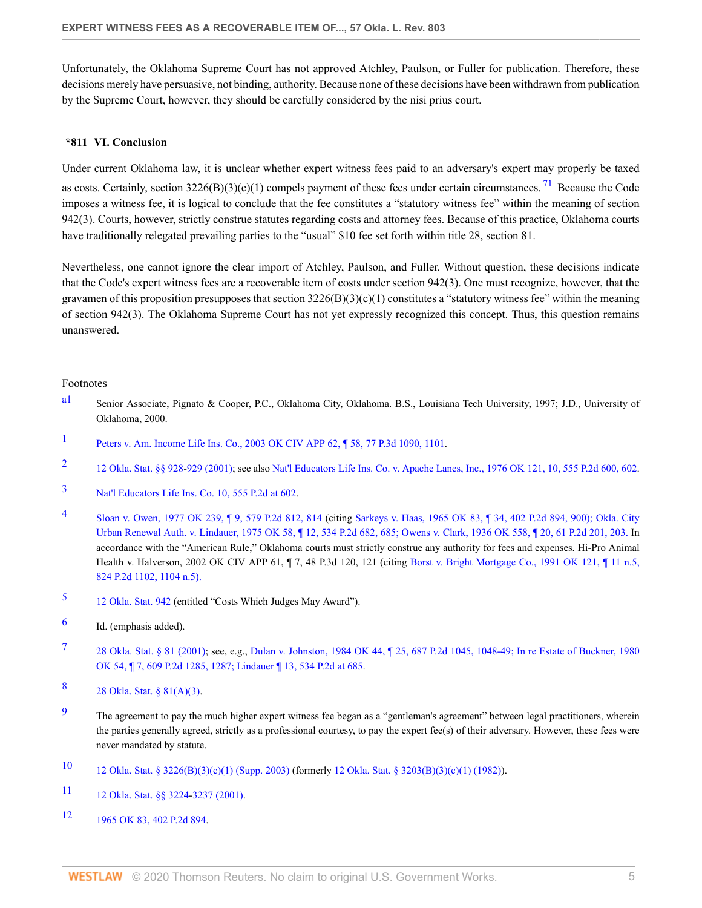Unfortunately, the Oklahoma Supreme Court has not approved Atchley, Paulson, or Fuller for publication. Therefore, these decisions merely have persuasive, not binding, authority. Because none of these decisions have been withdrawn from publication by the Supreme Court, however, they should be carefully considered by the nisi prius court.

### <span id="page-4-13"></span>**\*811 VI. Conclusion**

Under current Oklahoma law, it is unclear whether expert witness fees paid to an adversary's expert may properly be taxed as costs. Certainly, section  $3226(B)(3)(c)(1)$  compels payment of these fees under certain circumstances. <sup>[71](#page-7-7)</sup> Because the Code imposes a witness fee, it is logical to conclude that the fee constitutes a "statutory witness fee" within the meaning of section 942(3). Courts, however, strictly construe statutes regarding costs and attorney fees. Because of this practice, Oklahoma courts have traditionally relegated prevailing parties to the "usual" \$10 fee set forth within title 28, section 81.

Nevertheless, one cannot ignore the clear import of Atchley, Paulson, and Fuller. Without question, these decisions indicate that the Code's expert witness fees are a recoverable item of costs under section 942(3). One must recognize, however, that the gravamen of this proposition presupposes that section  $3226(B)(3)(c)(1)$  constitutes a "statutory witness fee" within the meaning of section 942(3). The Oklahoma Supreme Court has not yet expressly recognized this concept. Thus, this question remains unanswered.

#### Footnotes

- <span id="page-4-0"></span>[a1](#page-0-0) Senior Associate, Pignato & Cooper, P.C., Oklahoma City, Oklahoma. B.S., Louisiana Tech University, 1997; J.D., University of Oklahoma, 2000.
- <span id="page-4-1"></span>[1](#page-0-1) [Peters v. Am. Income Life Ins. Co., 2003 OK CIV APP 62, ¶ 58, 77 P.3d 1090, 1101](http://www.westlaw.com/Link/Document/FullText?findType=Y&serNum=2003543691&pubNum=4645&originatingDoc=Ia3826ca15ad111dbbe1cf2d29fe2afe6&refType=RP&fi=co_pp_sp_4645_1101&originationContext=document&vr=3.0&rs=cblt1.0&transitionType=DocumentItem&contextData=(sc.Search)#co_pp_sp_4645_1101).
- <span id="page-4-2"></span>[2](#page-0-2) [12 Okla. Stat. §§ 928](http://www.westlaw.com/Link/Document/FullText?findType=L&pubNum=1000165&cite=OKSTT12S928&originatingDoc=Ia3826ca15ad111dbbe1cf2d29fe2afe6&refType=LQ&originationContext=document&vr=3.0&rs=cblt1.0&transitionType=DocumentItem&contextData=(sc.Search))[-929 \(2001\);](http://www.westlaw.com/Link/Document/FullText?findType=L&pubNum=1000165&cite=OKSTT12S929&originatingDoc=Ia3826ca15ad111dbbe1cf2d29fe2afe6&refType=LQ&originationContext=document&vr=3.0&rs=cblt1.0&transitionType=DocumentItem&contextData=(sc.Search)) see also [Nat'l Educators Life Ins. Co. v. Apache Lanes, Inc., 1976 OK 121, 10, 555 P.2d 600, 602.](http://www.westlaw.com/Link/Document/FullText?findType=Y&serNum=1976134063&pubNum=661&originatingDoc=Ia3826ca15ad111dbbe1cf2d29fe2afe6&refType=RP&fi=co_pp_sp_661_602&originationContext=document&vr=3.0&rs=cblt1.0&transitionType=DocumentItem&contextData=(sc.Search)#co_pp_sp_661_602)
- <span id="page-4-3"></span>[3](#page-0-3) [Nat'l Educators Life Ins. Co. 10, 555 P.2d at 602](http://www.westlaw.com/Link/Document/FullText?findType=Y&serNum=1976134063&pubNum=661&originatingDoc=Ia3826ca15ad111dbbe1cf2d29fe2afe6&refType=RP&fi=co_pp_sp_661_602&originationContext=document&vr=3.0&rs=cblt1.0&transitionType=DocumentItem&contextData=(sc.Search)#co_pp_sp_661_602).
- <span id="page-4-4"></span>[4](#page-0-4) [Sloan v. Owen, 1977 OK 239, ¶ 9, 579 P.2d 812, 814](http://www.westlaw.com/Link/Document/FullText?findType=Y&serNum=1977143465&pubNum=661&originatingDoc=Ia3826ca15ad111dbbe1cf2d29fe2afe6&refType=RP&fi=co_pp_sp_661_814&originationContext=document&vr=3.0&rs=cblt1.0&transitionType=DocumentItem&contextData=(sc.Search)#co_pp_sp_661_814) (citing [Sarkeys v. Haas, 1965 OK 83, ¶ 34, 402 P.2d 894, 900\);](http://www.westlaw.com/Link/Document/FullText?findType=Y&serNum=1965123487&pubNum=661&originatingDoc=Ia3826ca15ad111dbbe1cf2d29fe2afe6&refType=RP&fi=co_pp_sp_661_900&originationContext=document&vr=3.0&rs=cblt1.0&transitionType=DocumentItem&contextData=(sc.Search)#co_pp_sp_661_900) [Okla. City](http://www.westlaw.com/Link/Document/FullText?findType=Y&serNum=1975126222&pubNum=661&originatingDoc=Ia3826ca15ad111dbbe1cf2d29fe2afe6&refType=RP&fi=co_pp_sp_661_685&originationContext=document&vr=3.0&rs=cblt1.0&transitionType=DocumentItem&contextData=(sc.Search)#co_pp_sp_661_685) [Urban Renewal Auth. v. Lindauer, 1975 OK 58, ¶ 12, 534 P.2d 682, 685;](http://www.westlaw.com/Link/Document/FullText?findType=Y&serNum=1975126222&pubNum=661&originatingDoc=Ia3826ca15ad111dbbe1cf2d29fe2afe6&refType=RP&fi=co_pp_sp_661_685&originationContext=document&vr=3.0&rs=cblt1.0&transitionType=DocumentItem&contextData=(sc.Search)#co_pp_sp_661_685) [Owens v. Clark, 1936 OK 558, ¶ 20, 61 P.2d 201, 203.](http://www.westlaw.com/Link/Document/FullText?findType=Y&serNum=1936121781&pubNum=661&originatingDoc=Ia3826ca15ad111dbbe1cf2d29fe2afe6&refType=RP&fi=co_pp_sp_661_203&originationContext=document&vr=3.0&rs=cblt1.0&transitionType=DocumentItem&contextData=(sc.Search)#co_pp_sp_661_203) In accordance with the "American Rule," Oklahoma courts must strictly construe any authority for fees and expenses. Hi-Pro Animal Health v. Halverson, 2002 OK CIV APP 61, ¶ 7, 48 P.3d 120, 121 (citing [Borst v. Bright Mortgage Co., 1991 OK 121, ¶ 11 n.5,](http://www.westlaw.com/Link/Document/FullText?findType=Y&serNum=1991194891&pubNum=661&originatingDoc=Ia3826ca15ad111dbbe1cf2d29fe2afe6&refType=RP&fi=co_pp_sp_661_1104&originationContext=document&vr=3.0&rs=cblt1.0&transitionType=DocumentItem&contextData=(sc.Search)#co_pp_sp_661_1104) [824 P.2d 1102, 1104 n.5\).](http://www.westlaw.com/Link/Document/FullText?findType=Y&serNum=1991194891&pubNum=661&originatingDoc=Ia3826ca15ad111dbbe1cf2d29fe2afe6&refType=RP&fi=co_pp_sp_661_1104&originationContext=document&vr=3.0&rs=cblt1.0&transitionType=DocumentItem&contextData=(sc.Search)#co_pp_sp_661_1104)
- <span id="page-4-5"></span>[5](#page-0-5) [12 Okla. Stat. 942](http://www.westlaw.com/Link/Document/FullText?findType=L&pubNum=1000165&cite=OKSTT12S942&originatingDoc=Ia3826ca15ad111dbbe1cf2d29fe2afe6&refType=LQ&originationContext=document&vr=3.0&rs=cblt1.0&transitionType=DocumentItem&contextData=(sc.Search)) (entitled "Costs Which Judges May Award").
- <span id="page-4-6"></span>[6](#page-0-6) Id. (emphasis added).
- <span id="page-4-7"></span>[7](#page-0-7) [28 Okla. Stat. § 81 \(2001\)](http://www.westlaw.com/Link/Document/FullText?findType=L&pubNum=1000165&cite=OKSTT28S81&originatingDoc=Ia3826ca15ad111dbbe1cf2d29fe2afe6&refType=LQ&originationContext=document&vr=3.0&rs=cblt1.0&transitionType=DocumentItem&contextData=(sc.Search)); see, e.g., [Dulan v. Johnston, 1984 OK 44, ¶ 25, 687 P.2d 1045, 1048-49;](http://www.westlaw.com/Link/Document/FullText?findType=Y&serNum=1984131048&pubNum=661&originatingDoc=Ia3826ca15ad111dbbe1cf2d29fe2afe6&refType=RP&fi=co_pp_sp_661_1048&originationContext=document&vr=3.0&rs=cblt1.0&transitionType=DocumentItem&contextData=(sc.Search)#co_pp_sp_661_1048) [In re Estate of Buckner, 1980](http://www.westlaw.com/Link/Document/FullText?findType=Y&serNum=1980109455&pubNum=661&originatingDoc=Ia3826ca15ad111dbbe1cf2d29fe2afe6&refType=RP&fi=co_pp_sp_661_1287&originationContext=document&vr=3.0&rs=cblt1.0&transitionType=DocumentItem&contextData=(sc.Search)#co_pp_sp_661_1287) [OK 54, ¶ 7, 609 P.2d 1285, 1287;](http://www.westlaw.com/Link/Document/FullText?findType=Y&serNum=1980109455&pubNum=661&originatingDoc=Ia3826ca15ad111dbbe1cf2d29fe2afe6&refType=RP&fi=co_pp_sp_661_1287&originationContext=document&vr=3.0&rs=cblt1.0&transitionType=DocumentItem&contextData=(sc.Search)#co_pp_sp_661_1287) [Lindauer ¶ 13, 534 P.2d at 685.](http://www.westlaw.com/Link/Document/FullText?findType=Y&serNum=1975126222&pubNum=661&originatingDoc=Ia3826ca15ad111dbbe1cf2d29fe2afe6&refType=RP&fi=co_pp_sp_661_685&originationContext=document&vr=3.0&rs=cblt1.0&transitionType=DocumentItem&contextData=(sc.Search)#co_pp_sp_661_685)
- <span id="page-4-8"></span>[8](#page-0-8) [28 Okla. Stat. § 81\(A\)\(3\)](http://www.westlaw.com/Link/Document/FullText?findType=L&pubNum=1000165&cite=OKSTT28S81&originatingDoc=Ia3826ca15ad111dbbe1cf2d29fe2afe6&refType=LQ&originationContext=document&vr=3.0&rs=cblt1.0&transitionType=DocumentItem&contextData=(sc.Search)).
- <span id="page-4-9"></span><sup>[9](#page-0-9)</sup> The agreement to pay the much higher expert witness fee began as a "gentleman's agreement" between legal practitioners, wherein the parties generally agreed, strictly as a professional courtesy, to pay the expert fee(s) of their adversary. However, these fees were never mandated by statute.
- <span id="page-4-10"></span>[10](#page-1-0) [12 Okla. Stat. § 3226\(B\)\(3\)\(c\)\(1\) \(Supp. 2003\)](http://www.westlaw.com/Link/Document/FullText?findType=L&pubNum=1000165&cite=OKSTT12S3226&originatingDoc=Ia3826ca15ad111dbbe1cf2d29fe2afe6&refType=LQ&originationContext=document&vr=3.0&rs=cblt1.0&transitionType=DocumentItem&contextData=(sc.Search)) (formerly [12 Okla. Stat. § 3203\(B\)\(3\)\(c\)\(1\) \(1982\)](http://www.westlaw.com/Link/Document/FullText?findType=L&pubNum=1000165&cite=OKSTT12S3203&originatingDoc=Ia3826ca15ad111dbbe1cf2d29fe2afe6&refType=LQ&originationContext=document&vr=3.0&rs=cblt1.0&transitionType=DocumentItem&contextData=(sc.Search))).
- <span id="page-4-11"></span>[11](#page-1-1) [12 Okla. Stat. §§ 3224-](http://www.westlaw.com/Link/Document/FullText?findType=L&pubNum=1000165&cite=OKSTT12S3224&originatingDoc=Ia3826ca15ad111dbbe1cf2d29fe2afe6&refType=LQ&originationContext=document&vr=3.0&rs=cblt1.0&transitionType=DocumentItem&contextData=(sc.Search))[3237 \(2001\)](http://www.westlaw.com/Link/Document/FullText?findType=L&pubNum=1000165&cite=OKSTT12S3237&originatingDoc=Ia3826ca15ad111dbbe1cf2d29fe2afe6&refType=LQ&originationContext=document&vr=3.0&rs=cblt1.0&transitionType=DocumentItem&contextData=(sc.Search)).
- <span id="page-4-12"></span>[12](#page-1-2) [1965 OK 83, 402 P.2d 894.](http://www.westlaw.com/Link/Document/FullText?findType=Y&serNum=1965123487&pubNum=661&originatingDoc=Ia3826ca15ad111dbbe1cf2d29fe2afe6&refType=RP&originationContext=document&vr=3.0&rs=cblt1.0&transitionType=DocumentItem&contextData=(sc.Search))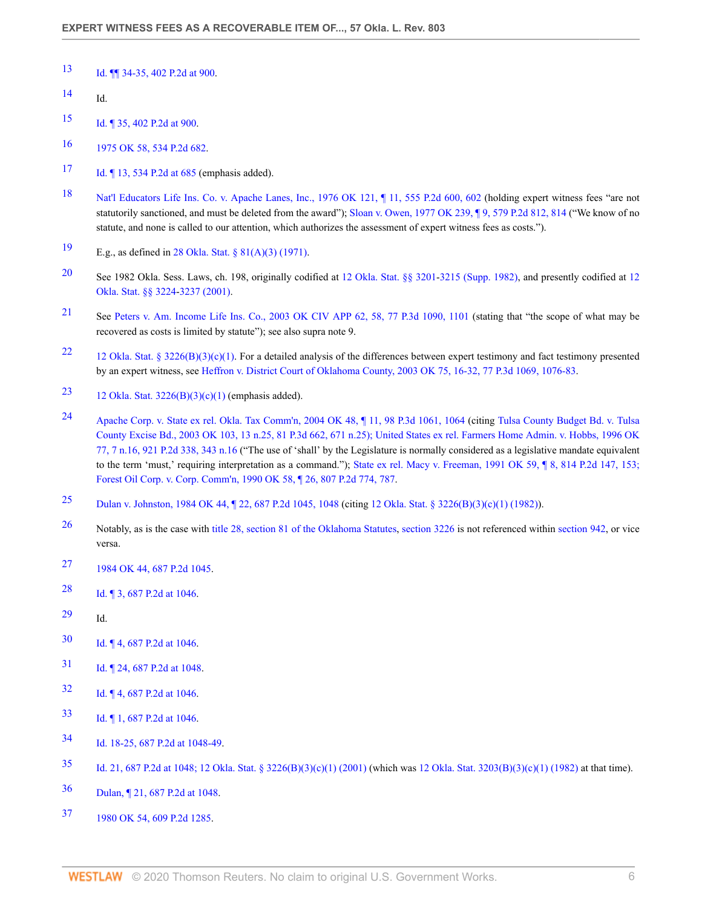- <span id="page-5-0"></span>[Id. ¶¶ 34-35, 402 P.2d at 900](http://www.westlaw.com/Link/Document/FullText?findType=Y&serNum=1965123487&pubNum=661&originatingDoc=Ia3826ca15ad111dbbe1cf2d29fe2afe6&refType=RP&fi=co_pp_sp_661_900&originationContext=document&vr=3.0&rs=cblt1.0&transitionType=DocumentItem&contextData=(sc.Search)#co_pp_sp_661_900).
- <span id="page-5-1"></span>Id.
- <span id="page-5-2"></span>[Id. ¶ 35, 402 P.2d at 900](http://www.westlaw.com/Link/Document/FullText?findType=Y&serNum=1965123487&pubNum=661&originatingDoc=Ia3826ca15ad111dbbe1cf2d29fe2afe6&refType=RP&fi=co_pp_sp_661_900&originationContext=document&vr=3.0&rs=cblt1.0&transitionType=DocumentItem&contextData=(sc.Search)#co_pp_sp_661_900).
- <span id="page-5-3"></span>[1975 OK 58, 534 P.2d 682.](http://www.westlaw.com/Link/Document/FullText?findType=Y&serNum=1975126222&pubNum=661&originatingDoc=Ia3826ca15ad111dbbe1cf2d29fe2afe6&refType=RP&originationContext=document&vr=3.0&rs=cblt1.0&transitionType=DocumentItem&contextData=(sc.Search))
- <span id="page-5-4"></span>[Id. ¶ 13, 534 P.2d at 685](http://www.westlaw.com/Link/Document/FullText?findType=Y&serNum=1975126222&pubNum=661&originatingDoc=Ia3826ca15ad111dbbe1cf2d29fe2afe6&refType=RP&fi=co_pp_sp_661_685&originationContext=document&vr=3.0&rs=cblt1.0&transitionType=DocumentItem&contextData=(sc.Search)#co_pp_sp_661_685) (emphasis added).
- <span id="page-5-5"></span> [Nat'l Educators Life Ins. Co. v. Apache Lanes, Inc., 1976 OK 121, ¶ 11, 555 P.2d 600, 602](http://www.westlaw.com/Link/Document/FullText?findType=Y&serNum=1976134063&pubNum=661&originatingDoc=Ia3826ca15ad111dbbe1cf2d29fe2afe6&refType=RP&fi=co_pp_sp_661_602&originationContext=document&vr=3.0&rs=cblt1.0&transitionType=DocumentItem&contextData=(sc.Search)#co_pp_sp_661_602) (holding expert witness fees "are not statutorily sanctioned, and must be deleted from the award"); [Sloan v. Owen, 1977 OK 239, ¶ 9, 579 P.2d 812, 814](http://www.westlaw.com/Link/Document/FullText?findType=Y&serNum=1977143465&pubNum=661&originatingDoc=Ia3826ca15ad111dbbe1cf2d29fe2afe6&refType=RP&fi=co_pp_sp_661_814&originationContext=document&vr=3.0&rs=cblt1.0&transitionType=DocumentItem&contextData=(sc.Search)#co_pp_sp_661_814) ("We know of no statute, and none is called to our attention, which authorizes the assessment of expert witness fees as costs.").
- <span id="page-5-6"></span>E.g., as defined in [28 Okla. Stat. § 81\(A\)\(3\) \(1971\).](http://www.westlaw.com/Link/Document/FullText?findType=L&pubNum=1000165&cite=OKSTT28S81&originatingDoc=Ia3826ca15ad111dbbe1cf2d29fe2afe6&refType=LQ&originationContext=document&vr=3.0&rs=cblt1.0&transitionType=DocumentItem&contextData=(sc.Search))
- <span id="page-5-7"></span> See 1982 Okla. Sess. Laws, ch. 198, originally codified at [12 Okla. Stat. §§ 3201-](http://www.westlaw.com/Link/Document/FullText?findType=L&pubNum=1000165&cite=OKSTT12S3201&originatingDoc=Ia3826ca15ad111dbbe1cf2d29fe2afe6&refType=LQ&originationContext=document&vr=3.0&rs=cblt1.0&transitionType=DocumentItem&contextData=(sc.Search))[3215 \(Supp. 1982\),](http://www.westlaw.com/Link/Document/FullText?findType=L&pubNum=1000165&cite=OKSTT12S3215&originatingDoc=Ia3826ca15ad111dbbe1cf2d29fe2afe6&refType=LQ&originationContext=document&vr=3.0&rs=cblt1.0&transitionType=DocumentItem&contextData=(sc.Search)) and presently codified at [12](http://www.westlaw.com/Link/Document/FullText?findType=L&pubNum=1000165&cite=OKSTT12S3224&originatingDoc=Ia3826ca15ad111dbbe1cf2d29fe2afe6&refType=LQ&originationContext=document&vr=3.0&rs=cblt1.0&transitionType=DocumentItem&contextData=(sc.Search)) [Okla. Stat. §§ 3224-](http://www.westlaw.com/Link/Document/FullText?findType=L&pubNum=1000165&cite=OKSTT12S3224&originatingDoc=Ia3826ca15ad111dbbe1cf2d29fe2afe6&refType=LQ&originationContext=document&vr=3.0&rs=cblt1.0&transitionType=DocumentItem&contextData=(sc.Search))[3237 \(2001\).](http://www.westlaw.com/Link/Document/FullText?findType=L&pubNum=1000165&cite=OKSTT12S3237&originatingDoc=Ia3826ca15ad111dbbe1cf2d29fe2afe6&refType=LQ&originationContext=document&vr=3.0&rs=cblt1.0&transitionType=DocumentItem&contextData=(sc.Search))
- <span id="page-5-8"></span> See [Peters v. Am. Income Life Ins. Co., 2003 OK CIV APP 62, 58, 77 P.3d 1090, 1101](http://www.westlaw.com/Link/Document/FullText?findType=Y&serNum=2003543691&pubNum=4645&originatingDoc=Ia3826ca15ad111dbbe1cf2d29fe2afe6&refType=RP&fi=co_pp_sp_4645_1101&originationContext=document&vr=3.0&rs=cblt1.0&transitionType=DocumentItem&contextData=(sc.Search)#co_pp_sp_4645_1101) (stating that "the scope of what may be recovered as costs is limited by statute"); see also supra note 9.
- <span id="page-5-9"></span> [12 Okla. Stat. § 3226\(B\)\(3\)\(c\)\(1\)](http://www.westlaw.com/Link/Document/FullText?findType=L&pubNum=1000165&cite=OKSTT12S3226&originatingDoc=Ia3826ca15ad111dbbe1cf2d29fe2afe6&refType=LQ&originationContext=document&vr=3.0&rs=cblt1.0&transitionType=DocumentItem&contextData=(sc.Search)). For a detailed analysis of the differences between expert testimony and fact testimony presented by an expert witness, see [Heffron v. District Court of Oklahoma County, 2003 OK 75, 16-32, 77 P.3d 1069, 1076-83](http://www.westlaw.com/Link/Document/FullText?findType=Y&serNum=2003652277&pubNum=4645&originatingDoc=Ia3826ca15ad111dbbe1cf2d29fe2afe6&refType=RP&fi=co_pp_sp_4645_1076&originationContext=document&vr=3.0&rs=cblt1.0&transitionType=DocumentItem&contextData=(sc.Search)#co_pp_sp_4645_1076).
- <span id="page-5-10"></span>[23](#page-1-13) 12 Okla. Stat.  $3226(B)(3)(c)(1)$  (emphasis added).
- <span id="page-5-11"></span> [Apache Corp. v. State ex rel. Okla. Tax Comm'n, 2004 OK 48, ¶ 11, 98 P.3d 1061, 1064](http://www.westlaw.com/Link/Document/FullText?findType=Y&serNum=2004585260&pubNum=4645&originatingDoc=Ia3826ca15ad111dbbe1cf2d29fe2afe6&refType=RP&fi=co_pp_sp_4645_1064&originationContext=document&vr=3.0&rs=cblt1.0&transitionType=DocumentItem&contextData=(sc.Search)#co_pp_sp_4645_1064) (citing [Tulsa County Budget Bd. v. Tulsa](http://www.westlaw.com/Link/Document/FullText?findType=Y&serNum=2003887778&pubNum=4645&originatingDoc=Ia3826ca15ad111dbbe1cf2d29fe2afe6&refType=RP&fi=co_pp_sp_4645_671&originationContext=document&vr=3.0&rs=cblt1.0&transitionType=DocumentItem&contextData=(sc.Search)#co_pp_sp_4645_671) [County Excise Bd., 2003 OK 103, 13 n.25, 81 P.3d 662, 671 n.25\);](http://www.westlaw.com/Link/Document/FullText?findType=Y&serNum=2003887778&pubNum=4645&originatingDoc=Ia3826ca15ad111dbbe1cf2d29fe2afe6&refType=RP&fi=co_pp_sp_4645_671&originationContext=document&vr=3.0&rs=cblt1.0&transitionType=DocumentItem&contextData=(sc.Search)#co_pp_sp_4645_671) [United States ex rel. Farmers Home Admin. v. Hobbs, 1996 OK](http://www.westlaw.com/Link/Document/FullText?findType=Y&serNum=1996156204&pubNum=661&originatingDoc=Ia3826ca15ad111dbbe1cf2d29fe2afe6&refType=RP&fi=co_pp_sp_661_343&originationContext=document&vr=3.0&rs=cblt1.0&transitionType=DocumentItem&contextData=(sc.Search)#co_pp_sp_661_343) [77, 7 n.16, 921 P.2d 338, 343 n.16](http://www.westlaw.com/Link/Document/FullText?findType=Y&serNum=1996156204&pubNum=661&originatingDoc=Ia3826ca15ad111dbbe1cf2d29fe2afe6&refType=RP&fi=co_pp_sp_661_343&originationContext=document&vr=3.0&rs=cblt1.0&transitionType=DocumentItem&contextData=(sc.Search)#co_pp_sp_661_343) ("The use of 'shall' by the Legislature is normally considered as a legislative mandate equivalent to the term 'must,' requiring interpretation as a command."); [State ex rel. Macy v. Freeman, 1991 OK 59, ¶ 8, 814 P.2d 147, 153;](http://www.westlaw.com/Link/Document/FullText?findType=Y&serNum=1991115738&pubNum=661&originatingDoc=Ia3826ca15ad111dbbe1cf2d29fe2afe6&refType=RP&fi=co_pp_sp_661_153&originationContext=document&vr=3.0&rs=cblt1.0&transitionType=DocumentItem&contextData=(sc.Search)#co_pp_sp_661_153) [Forest Oil Corp. v. Corp. Comm'n, 1990 OK 58, ¶ 26, 807 P.2d 774, 787.](http://www.westlaw.com/Link/Document/FullText?findType=Y&serNum=1990102810&pubNum=661&originatingDoc=Ia3826ca15ad111dbbe1cf2d29fe2afe6&refType=RP&fi=co_pp_sp_661_787&originationContext=document&vr=3.0&rs=cblt1.0&transitionType=DocumentItem&contextData=(sc.Search)#co_pp_sp_661_787)
- <span id="page-5-12"></span>[Dulan v. Johnston, 1984 OK 44, ¶ 22, 687 P.2d 1045, 1048](http://www.westlaw.com/Link/Document/FullText?findType=Y&serNum=1984131048&pubNum=661&originatingDoc=Ia3826ca15ad111dbbe1cf2d29fe2afe6&refType=RP&fi=co_pp_sp_661_1048&originationContext=document&vr=3.0&rs=cblt1.0&transitionType=DocumentItem&contextData=(sc.Search)#co_pp_sp_661_1048) (citing [12 Okla. Stat. § 3226\(B\)\(3\)\(c\)\(1\) \(1982\)](http://www.westlaw.com/Link/Document/FullText?findType=L&pubNum=1000165&cite=OKSTT12S3226&originatingDoc=Ia3826ca15ad111dbbe1cf2d29fe2afe6&refType=LQ&originationContext=document&vr=3.0&rs=cblt1.0&transitionType=DocumentItem&contextData=(sc.Search))).
- <span id="page-5-13"></span> Notably, as is the case with [title 28, section 81 of the Oklahoma Statutes](http://www.westlaw.com/Link/Document/FullText?findType=L&pubNum=1000165&cite=OKSTT28S81&originatingDoc=Ia3826ca15ad111dbbe1cf2d29fe2afe6&refType=LQ&originationContext=document&vr=3.0&rs=cblt1.0&transitionType=DocumentItem&contextData=(sc.Search)), [section 3226](http://www.westlaw.com/Link/Document/FullText?findType=L&pubNum=1000165&cite=OKSTT12S3226&originatingDoc=Ia3826ca15ad111dbbe1cf2d29fe2afe6&refType=LQ&originationContext=document&vr=3.0&rs=cblt1.0&transitionType=DocumentItem&contextData=(sc.Search)) is not referenced within [section 942](http://www.westlaw.com/Link/Document/FullText?findType=L&pubNum=1000165&cite=OKSTT12S942&originatingDoc=Ia3826ca15ad111dbbe1cf2d29fe2afe6&refType=LQ&originationContext=document&vr=3.0&rs=cblt1.0&transitionType=DocumentItem&contextData=(sc.Search)), or vice versa.
- <span id="page-5-14"></span>[1984 OK 44, 687 P.2d 1045](http://www.westlaw.com/Link/Document/FullText?findType=Y&serNum=1984131048&pubNum=661&originatingDoc=Ia3826ca15ad111dbbe1cf2d29fe2afe6&refType=RP&originationContext=document&vr=3.0&rs=cblt1.0&transitionType=DocumentItem&contextData=(sc.Search)).
- <span id="page-5-15"></span>[Id. ¶ 3, 687 P.2d at 1046](http://www.westlaw.com/Link/Document/FullText?findType=Y&serNum=1984131048&pubNum=661&originatingDoc=Ia3826ca15ad111dbbe1cf2d29fe2afe6&refType=RP&fi=co_pp_sp_661_1046&originationContext=document&vr=3.0&rs=cblt1.0&transitionType=DocumentItem&contextData=(sc.Search)#co_pp_sp_661_1046).
- <span id="page-5-16"></span>Id.
- <span id="page-5-17"></span>[Id. ¶ 4, 687 P.2d at 1046](http://www.westlaw.com/Link/Document/FullText?findType=Y&serNum=1984131048&pubNum=661&originatingDoc=Ia3826ca15ad111dbbe1cf2d29fe2afe6&refType=RP&fi=co_pp_sp_661_1046&originationContext=document&vr=3.0&rs=cblt1.0&transitionType=DocumentItem&contextData=(sc.Search)#co_pp_sp_661_1046).
- <span id="page-5-18"></span>[Id. ¶ 24, 687 P.2d at 1048.](http://www.westlaw.com/Link/Document/FullText?findType=Y&serNum=1984131048&pubNum=661&originatingDoc=Ia3826ca15ad111dbbe1cf2d29fe2afe6&refType=RP&fi=co_pp_sp_661_1048&originationContext=document&vr=3.0&rs=cblt1.0&transitionType=DocumentItem&contextData=(sc.Search)#co_pp_sp_661_1048)
- <span id="page-5-19"></span>[Id. ¶ 4, 687 P.2d at 1046](http://www.westlaw.com/Link/Document/FullText?findType=Y&serNum=1984131048&pubNum=661&originatingDoc=Ia3826ca15ad111dbbe1cf2d29fe2afe6&refType=RP&fi=co_pp_sp_661_1046&originationContext=document&vr=3.0&rs=cblt1.0&transitionType=DocumentItem&contextData=(sc.Search)#co_pp_sp_661_1046).
- <span id="page-5-20"></span>[Id. ¶ 1, 687 P.2d at 1046](http://www.westlaw.com/Link/Document/FullText?findType=Y&serNum=1984131048&pubNum=661&originatingDoc=Ia3826ca15ad111dbbe1cf2d29fe2afe6&refType=RP&fi=co_pp_sp_661_1046&originationContext=document&vr=3.0&rs=cblt1.0&transitionType=DocumentItem&contextData=(sc.Search)#co_pp_sp_661_1046).
- <span id="page-5-21"></span>[Id. 18-25, 687 P.2d at 1048-49](http://www.westlaw.com/Link/Document/FullText?findType=Y&serNum=1984131048&pubNum=661&originatingDoc=Ia3826ca15ad111dbbe1cf2d29fe2afe6&refType=RP&fi=co_pp_sp_661_1048&originationContext=document&vr=3.0&rs=cblt1.0&transitionType=DocumentItem&contextData=(sc.Search)#co_pp_sp_661_1048).
- <span id="page-5-22"></span>[Id. 21, 687 P.2d at 1048;](http://www.westlaw.com/Link/Document/FullText?findType=Y&serNum=1984131048&pubNum=661&originatingDoc=Ia3826ca15ad111dbbe1cf2d29fe2afe6&refType=RP&fi=co_pp_sp_661_1048&originationContext=document&vr=3.0&rs=cblt1.0&transitionType=DocumentItem&contextData=(sc.Search)#co_pp_sp_661_1048) [12 Okla. Stat. § 3226\(B\)\(3\)\(c\)\(1\) \(2001\)](http://www.westlaw.com/Link/Document/FullText?findType=L&pubNum=1000165&cite=OKSTT12S3226&originatingDoc=Ia3826ca15ad111dbbe1cf2d29fe2afe6&refType=LQ&originationContext=document&vr=3.0&rs=cblt1.0&transitionType=DocumentItem&contextData=(sc.Search)) (which was [12 Okla. Stat. 3203\(B\)\(3\)\(c\)\(1\) \(1982\)](http://www.westlaw.com/Link/Document/FullText?findType=L&pubNum=1000165&cite=OKSTT12S3203&originatingDoc=Ia3826ca15ad111dbbe1cf2d29fe2afe6&refType=LQ&originationContext=document&vr=3.0&rs=cblt1.0&transitionType=DocumentItem&contextData=(sc.Search)) at that time).
- <span id="page-5-23"></span>[Dulan, ¶ 21, 687 P.2d at 1048](http://www.westlaw.com/Link/Document/FullText?findType=Y&serNum=1984131048&pubNum=661&originatingDoc=Ia3826ca15ad111dbbe1cf2d29fe2afe6&refType=RP&fi=co_pp_sp_661_1048&originationContext=document&vr=3.0&rs=cblt1.0&transitionType=DocumentItem&contextData=(sc.Search)#co_pp_sp_661_1048).
- <span id="page-5-24"></span>[1980 OK 54, 609 P.2d 1285](http://www.westlaw.com/Link/Document/FullText?findType=Y&serNum=1980109455&pubNum=661&originatingDoc=Ia3826ca15ad111dbbe1cf2d29fe2afe6&refType=RP&originationContext=document&vr=3.0&rs=cblt1.0&transitionType=DocumentItem&contextData=(sc.Search)).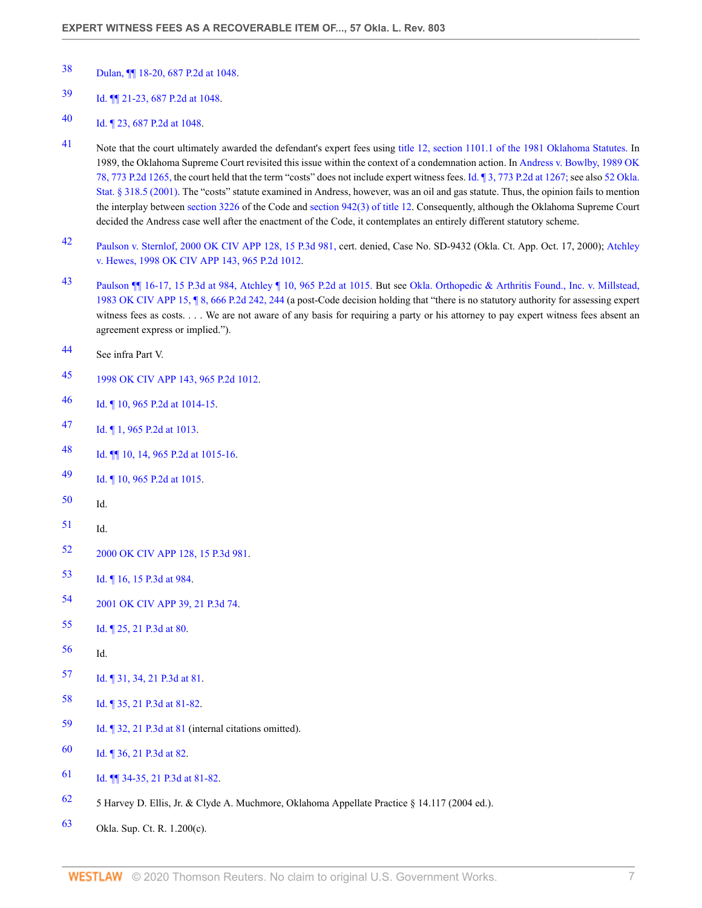- <span id="page-6-0"></span>[Dulan, ¶¶ 18-20, 687 P.2d at 1048](http://www.westlaw.com/Link/Document/FullText?findType=Y&serNum=1984131048&pubNum=661&originatingDoc=Ia3826ca15ad111dbbe1cf2d29fe2afe6&refType=RP&fi=co_pp_sp_661_1048&originationContext=document&vr=3.0&rs=cblt1.0&transitionType=DocumentItem&contextData=(sc.Search)#co_pp_sp_661_1048).
- <span id="page-6-1"></span>[Id. ¶¶ 21-23, 687 P.2d at 1048.](http://www.westlaw.com/Link/Document/FullText?findType=Y&serNum=1984131048&pubNum=661&originatingDoc=Ia3826ca15ad111dbbe1cf2d29fe2afe6&refType=RP&fi=co_pp_sp_661_1048&originationContext=document&vr=3.0&rs=cblt1.0&transitionType=DocumentItem&contextData=(sc.Search)#co_pp_sp_661_1048)
- <span id="page-6-2"></span>[Id. ¶ 23, 687 P.2d at 1048.](http://www.westlaw.com/Link/Document/FullText?findType=Y&serNum=1984131048&pubNum=661&originatingDoc=Ia3826ca15ad111dbbe1cf2d29fe2afe6&refType=RP&fi=co_pp_sp_661_1048&originationContext=document&vr=3.0&rs=cblt1.0&transitionType=DocumentItem&contextData=(sc.Search)#co_pp_sp_661_1048)
- <span id="page-6-3"></span> Note that the court ultimately awarded the defendant's expert fees using [title 12, section 1101.1 of the 1981 Oklahoma Statutes.](http://www.westlaw.com/Link/Document/FullText?findType=L&pubNum=1000165&cite=OKSTT12S1101.1&originatingDoc=Ia3826ca15ad111dbbe1cf2d29fe2afe6&refType=LQ&originationContext=document&vr=3.0&rs=cblt1.0&transitionType=DocumentItem&contextData=(sc.Search)) In 1989, the Oklahoma Supreme Court revisited this issue within the context of a condemnation action. In [Andress v. Bowlby, 1989 OK](http://www.westlaw.com/Link/Document/FullText?findType=Y&serNum=1989077655&pubNum=661&originatingDoc=Ia3826ca15ad111dbbe1cf2d29fe2afe6&refType=RP&originationContext=document&vr=3.0&rs=cblt1.0&transitionType=DocumentItem&contextData=(sc.Search)) [78, 773 P.2d 1265,](http://www.westlaw.com/Link/Document/FullText?findType=Y&serNum=1989077655&pubNum=661&originatingDoc=Ia3826ca15ad111dbbe1cf2d29fe2afe6&refType=RP&originationContext=document&vr=3.0&rs=cblt1.0&transitionType=DocumentItem&contextData=(sc.Search)) the court held that the term "costs" does not include expert witness fees. [Id. ¶ 3, 773 P.2d at 1267;](http://www.westlaw.com/Link/Document/FullText?findType=Y&serNum=1989077655&pubNum=661&originatingDoc=Ia3826ca15ad111dbbe1cf2d29fe2afe6&refType=RP&fi=co_pp_sp_661_1267&originationContext=document&vr=3.0&rs=cblt1.0&transitionType=DocumentItem&contextData=(sc.Search)#co_pp_sp_661_1267) see also [52 Okla.](http://www.westlaw.com/Link/Document/FullText?findType=L&pubNum=1000165&cite=OKSTT52S318.5&originatingDoc=Ia3826ca15ad111dbbe1cf2d29fe2afe6&refType=LQ&originationContext=document&vr=3.0&rs=cblt1.0&transitionType=DocumentItem&contextData=(sc.Search)) [Stat. § 318.5 \(2001\).](http://www.westlaw.com/Link/Document/FullText?findType=L&pubNum=1000165&cite=OKSTT52S318.5&originatingDoc=Ia3826ca15ad111dbbe1cf2d29fe2afe6&refType=LQ&originationContext=document&vr=3.0&rs=cblt1.0&transitionType=DocumentItem&contextData=(sc.Search)) The "costs" statute examined in Andress, however, was an oil and gas statute. Thus, the opinion fails to mention the interplay between [section 3226](http://www.westlaw.com/Link/Document/FullText?findType=L&pubNum=1000165&cite=OKSTT12S3226&originatingDoc=Ia3826ca15ad111dbbe1cf2d29fe2afe6&refType=LQ&originationContext=document&vr=3.0&rs=cblt1.0&transitionType=DocumentItem&contextData=(sc.Search)) of the Code and [section 942\(3\) of title 12](http://www.westlaw.com/Link/Document/FullText?findType=L&pubNum=1000165&cite=OKSTT12S942&originatingDoc=Ia3826ca15ad111dbbe1cf2d29fe2afe6&refType=LQ&originationContext=document&vr=3.0&rs=cblt1.0&transitionType=DocumentItem&contextData=(sc.Search)). Consequently, although the Oklahoma Supreme Court decided the Andress case well after the enactment of the Code, it contemplates an entirely different statutory scheme.
- <span id="page-6-4"></span> [Paulson v. Sternlof, 2000 OK CIV APP 128, 15 P.3d 981,](http://www.westlaw.com/Link/Document/FullText?findType=Y&serNum=2000640961&pubNum=4645&originatingDoc=Ia3826ca15ad111dbbe1cf2d29fe2afe6&refType=RP&originationContext=document&vr=3.0&rs=cblt1.0&transitionType=DocumentItem&contextData=(sc.Search)) cert. denied, Case No. SD-9432 (Okla. Ct. App. Oct. 17, 2000); [Atchley](http://www.westlaw.com/Link/Document/FullText?findType=Y&serNum=1998215074&pubNum=661&originatingDoc=Ia3826ca15ad111dbbe1cf2d29fe2afe6&refType=RP&originationContext=document&vr=3.0&rs=cblt1.0&transitionType=DocumentItem&contextData=(sc.Search)) [v. Hewes, 1998 OK CIV APP 143, 965 P.2d 1012.](http://www.westlaw.com/Link/Document/FullText?findType=Y&serNum=1998215074&pubNum=661&originatingDoc=Ia3826ca15ad111dbbe1cf2d29fe2afe6&refType=RP&originationContext=document&vr=3.0&rs=cblt1.0&transitionType=DocumentItem&contextData=(sc.Search))
- <span id="page-6-5"></span> [Paulson ¶¶ 16-17, 15 P.3d at 984,](http://www.westlaw.com/Link/Document/FullText?findType=Y&serNum=2000640961&pubNum=4645&originatingDoc=Ia3826ca15ad111dbbe1cf2d29fe2afe6&refType=RP&fi=co_pp_sp_4645_984&originationContext=document&vr=3.0&rs=cblt1.0&transitionType=DocumentItem&contextData=(sc.Search)#co_pp_sp_4645_984) [Atchley ¶ 10, 965 P.2d at 1015.](http://www.westlaw.com/Link/Document/FullText?findType=Y&serNum=1998215074&pubNum=661&originatingDoc=Ia3826ca15ad111dbbe1cf2d29fe2afe6&refType=RP&fi=co_pp_sp_661_1015&originationContext=document&vr=3.0&rs=cblt1.0&transitionType=DocumentItem&contextData=(sc.Search)#co_pp_sp_661_1015) But see [Okla. Orthopedic & Arthritis Found., Inc. v. Millstead,](http://www.westlaw.com/Link/Document/FullText?findType=Y&serNum=1983132666&pubNum=661&originatingDoc=Ia3826ca15ad111dbbe1cf2d29fe2afe6&refType=RP&fi=co_pp_sp_661_244&originationContext=document&vr=3.0&rs=cblt1.0&transitionType=DocumentItem&contextData=(sc.Search)#co_pp_sp_661_244) [1983 OK CIV APP 15, ¶ 8, 666 P.2d 242, 244](http://www.westlaw.com/Link/Document/FullText?findType=Y&serNum=1983132666&pubNum=661&originatingDoc=Ia3826ca15ad111dbbe1cf2d29fe2afe6&refType=RP&fi=co_pp_sp_661_244&originationContext=document&vr=3.0&rs=cblt1.0&transitionType=DocumentItem&contextData=(sc.Search)#co_pp_sp_661_244) (a post-Code decision holding that "there is no statutory authority for assessing expert witness fees as costs. . . . We are not aware of any basis for requiring a party or his attorney to pay expert witness fees absent an agreement express or implied.").
- <span id="page-6-6"></span>See infra Part V.
- <span id="page-6-7"></span>[1998 OK CIV APP 143, 965 P.2d 1012](http://www.westlaw.com/Link/Document/FullText?findType=Y&serNum=1998215074&pubNum=661&originatingDoc=Ia3826ca15ad111dbbe1cf2d29fe2afe6&refType=RP&originationContext=document&vr=3.0&rs=cblt1.0&transitionType=DocumentItem&contextData=(sc.Search)).
- <span id="page-6-8"></span>[Id. ¶ 10, 965 P.2d at 1014-15.](http://www.westlaw.com/Link/Document/FullText?findType=Y&serNum=1998215074&pubNum=661&originatingDoc=Ia3826ca15ad111dbbe1cf2d29fe2afe6&refType=RP&fi=co_pp_sp_661_1014&originationContext=document&vr=3.0&rs=cblt1.0&transitionType=DocumentItem&contextData=(sc.Search)#co_pp_sp_661_1014)
- <span id="page-6-9"></span>[Id. ¶ 1, 965 P.2d at 1013](http://www.westlaw.com/Link/Document/FullText?findType=Y&serNum=1998215074&pubNum=661&originatingDoc=Ia3826ca15ad111dbbe1cf2d29fe2afe6&refType=RP&fi=co_pp_sp_661_1013&originationContext=document&vr=3.0&rs=cblt1.0&transitionType=DocumentItem&contextData=(sc.Search)#co_pp_sp_661_1013).
- <span id="page-6-10"></span>[Id. ¶¶ 10, 14, 965 P.2d at 1015-16](http://www.westlaw.com/Link/Document/FullText?findType=Y&serNum=1998215074&pubNum=661&originatingDoc=Ia3826ca15ad111dbbe1cf2d29fe2afe6&refType=RP&fi=co_pp_sp_661_1015&originationContext=document&vr=3.0&rs=cblt1.0&transitionType=DocumentItem&contextData=(sc.Search)#co_pp_sp_661_1015).
- <span id="page-6-11"></span>[Id. ¶ 10, 965 P.2d at 1015.](http://www.westlaw.com/Link/Document/FullText?findType=Y&serNum=1998215074&pubNum=661&originatingDoc=Ia3826ca15ad111dbbe1cf2d29fe2afe6&refType=RP&fi=co_pp_sp_661_1015&originationContext=document&vr=3.0&rs=cblt1.0&transitionType=DocumentItem&contextData=(sc.Search)#co_pp_sp_661_1015)
- <span id="page-6-12"></span>Id.
- <span id="page-6-13"></span>Id.
- <span id="page-6-14"></span>[2000 OK CIV APP 128, 15 P.3d 981](http://www.westlaw.com/Link/Document/FullText?findType=Y&serNum=2000640961&pubNum=4645&originatingDoc=Ia3826ca15ad111dbbe1cf2d29fe2afe6&refType=RP&originationContext=document&vr=3.0&rs=cblt1.0&transitionType=DocumentItem&contextData=(sc.Search)).
- <span id="page-6-15"></span>[Id. ¶ 16, 15 P.3d at 984.](http://www.westlaw.com/Link/Document/FullText?findType=Y&serNum=2000640961&pubNum=4645&originatingDoc=Ia3826ca15ad111dbbe1cf2d29fe2afe6&refType=RP&fi=co_pp_sp_4645_984&originationContext=document&vr=3.0&rs=cblt1.0&transitionType=DocumentItem&contextData=(sc.Search)#co_pp_sp_4645_984)
- <span id="page-6-16"></span>[2001 OK CIV APP 39, 21 P.3d 74](http://www.westlaw.com/Link/Document/FullText?findType=Y&serNum=2001290655&pubNum=4645&originatingDoc=Ia3826ca15ad111dbbe1cf2d29fe2afe6&refType=RP&originationContext=document&vr=3.0&rs=cblt1.0&transitionType=DocumentItem&contextData=(sc.Search)).
- <span id="page-6-17"></span>[Id. ¶ 25, 21 P.3d at 80](http://www.westlaw.com/Link/Document/FullText?findType=Y&serNum=2001290655&pubNum=4645&originatingDoc=Ia3826ca15ad111dbbe1cf2d29fe2afe6&refType=RP&fi=co_pp_sp_4645_80&originationContext=document&vr=3.0&rs=cblt1.0&transitionType=DocumentItem&contextData=(sc.Search)#co_pp_sp_4645_80).
- <span id="page-6-18"></span>Id.
- <span id="page-6-19"></span>[Id. ¶ 31, 34, 21 P.3d at 81.](http://www.westlaw.com/Link/Document/FullText?findType=Y&serNum=2001290655&pubNum=4645&originatingDoc=Ia3826ca15ad111dbbe1cf2d29fe2afe6&refType=RP&fi=co_pp_sp_4645_81&originationContext=document&vr=3.0&rs=cblt1.0&transitionType=DocumentItem&contextData=(sc.Search)#co_pp_sp_4645_81)
- <span id="page-6-20"></span>[Id. ¶ 35, 21 P.3d at 81-82](http://www.westlaw.com/Link/Document/FullText?findType=Y&serNum=2001290655&pubNum=4645&originatingDoc=Ia3826ca15ad111dbbe1cf2d29fe2afe6&refType=RP&fi=co_pp_sp_4645_81&originationContext=document&vr=3.0&rs=cblt1.0&transitionType=DocumentItem&contextData=(sc.Search)#co_pp_sp_4645_81).
- <span id="page-6-21"></span>[Id. ¶ 32, 21 P.3d at 81](http://www.westlaw.com/Link/Document/FullText?findType=Y&serNum=2001290655&pubNum=4645&originatingDoc=Ia3826ca15ad111dbbe1cf2d29fe2afe6&refType=RP&fi=co_pp_sp_4645_81&originationContext=document&vr=3.0&rs=cblt1.0&transitionType=DocumentItem&contextData=(sc.Search)#co_pp_sp_4645_81) (internal citations omitted).
- <span id="page-6-22"></span>[Id. ¶ 36, 21 P.3d at 82](http://www.westlaw.com/Link/Document/FullText?findType=Y&serNum=2001290655&pubNum=4645&originatingDoc=Ia3826ca15ad111dbbe1cf2d29fe2afe6&refType=RP&fi=co_pp_sp_4645_82&originationContext=document&vr=3.0&rs=cblt1.0&transitionType=DocumentItem&contextData=(sc.Search)#co_pp_sp_4645_82).
- <span id="page-6-23"></span>[Id. ¶¶ 34-35, 21 P.3d at 81-82](http://www.westlaw.com/Link/Document/FullText?findType=Y&serNum=2001290655&pubNum=4645&originatingDoc=Ia3826ca15ad111dbbe1cf2d29fe2afe6&refType=RP&fi=co_pp_sp_4645_81&originationContext=document&vr=3.0&rs=cblt1.0&transitionType=DocumentItem&contextData=(sc.Search)#co_pp_sp_4645_81).
- <span id="page-6-24"></span>[62](#page-3-9) 5 Harvey D. Ellis, Jr. & Clyde A. Muchmore, Oklahoma Appellate Practice  $\S$  14.117 (2004 ed.).
- <span id="page-6-25"></span>Okla. Sup. Ct. R. 1.200(c).